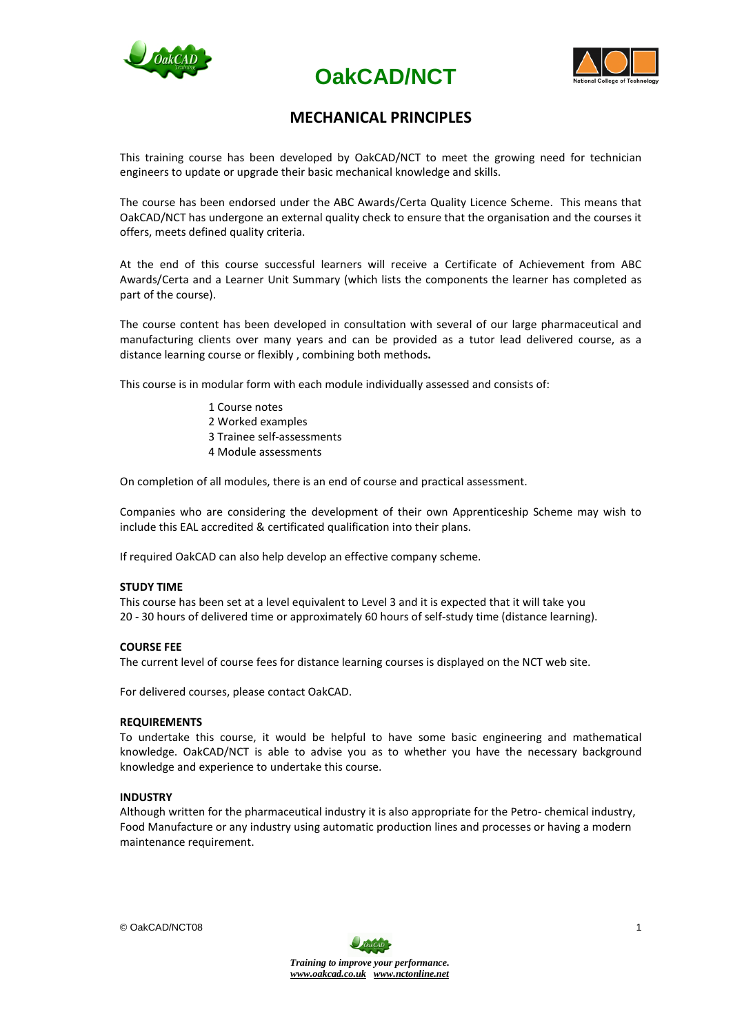





# **MECHANICAL PRINCIPLES**

This training course has been developed by OakCAD/NCT to meet the growing need for technician engineers to update or upgrade their basic mechanical knowledge and skills.

The course has been endorsed under the ABC Awards/Certa Quality Licence Scheme. This means that OakCAD/NCT has undergone an external quality check to ensure that the organisation and the courses it offers, meets defined quality criteria.

At the end of this course successful learners will receive a Certificate of Achievement from ABC Awards/Certa and a Learner Unit Summary (which lists the components the learner has completed as part of the course).

The course content has been developed in consultation with several of our large pharmaceutical and manufacturing clients over many years and can be provided as a tutor lead delivered course, as a distance learning course or flexibly , combining both methods**.**

This course is in modular form with each module individually assessed and consists of:

1 Course notes 2 Worked examples 3 Trainee self-assessments 4 Module assessments

On completion of all modules, there is an end of course and practical assessment.

Companies who are considering the development of their own Apprenticeship Scheme may wish to include this EAL accredited & certificated qualification into their plans.

If required OakCAD can also help develop an effective company scheme.

#### **STUDY TIME**

This course has been set at a level equivalent to Level 3 and it is expected that it will take you 20 - 30 hours of delivered time or approximately 60 hours of self-study time (distance learning).

#### **COURSE FEE**

The current level of course fees for distance learning courses is displayed on the NCT web site.

For delivered courses, please contact OakCAD.

#### **REQUIREMENTS**

To undertake this course, it would be helpful to have some basic engineering and mathematical knowledge. OakCAD/NCT is able to advise you as to whether you have the necessary background knowledge and experience to undertake this course.

#### **INDUSTRY**

Although written for the pharmaceutical industry it is also appropriate for the Petro- chemical industry, Food Manufacture or any industry using automatic production lines and processes or having a modern maintenance requirement.

© OakCAD/NCT08

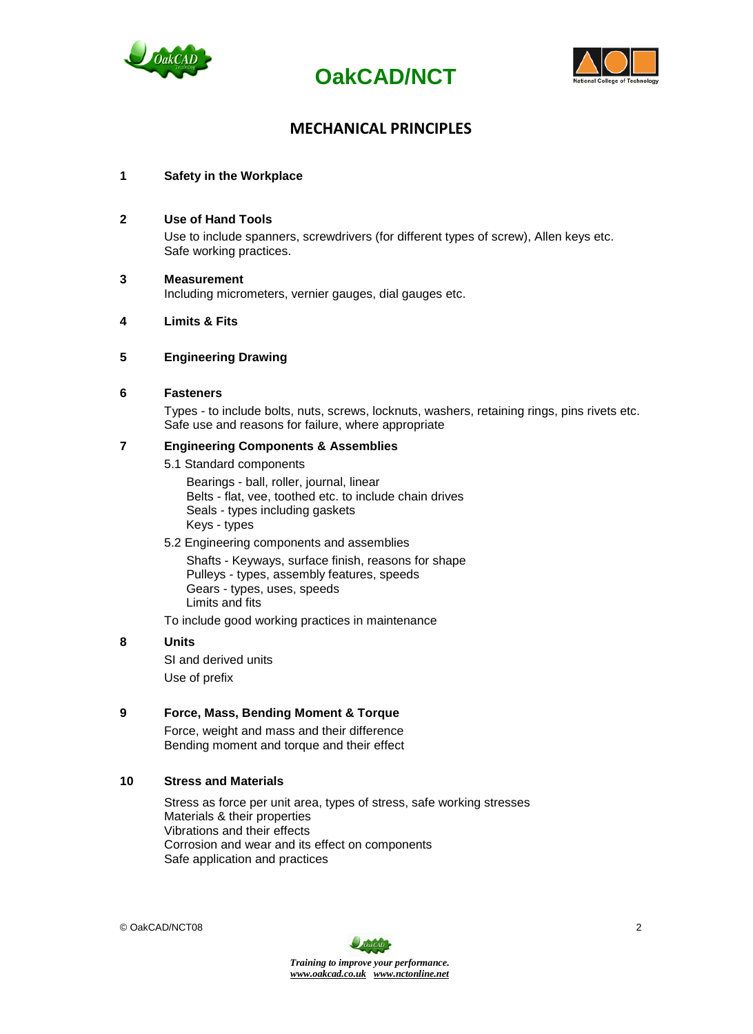





# **MECHANICAL PRINCIPLES**

## **1 Safety in the Workplace**

#### **2 Use of Hand Tools**

Use to include spanners, screwdrivers (for different types of screw), Allen keys etc. Safe working practices.

## **3 Measurement**

Including micrometers, vernier gauges, dial gauges etc.

### **4 Limits & Fits**

## **5 Engineering Drawing**

#### **6 Fasteners**

Types - to include bolts, nuts, screws, locknuts, washers, retaining rings, pins rivets etc. Safe use and reasons for failure, where appropriate

#### **7 Engineering Components & Assemblies**

5.1 Standard components

 Bearings - ball, roller, journal, linear Belts - flat, vee, toothed etc. to include chain drives Seals - types including gaskets Keys - types

5.2 Engineering components and assemblies

Shafts - Keyways, surface finish, reasons for shape Pulleys - types, assembly features, speeds Gears - types, uses, speeds Limits and fits

To include good working practices in maintenance

### **8 Units**

SI and derived units Use of prefix

### **9 Force, Mass, Bending Moment & Torque**

Force, weight and mass and their difference Bending moment and torque and their effect

### **10 Stress and Materials**

Stress as force per unit area, types of stress, safe working stresses Materials & their properties Vibrations and their effects Corrosion and wear and its effect on components Safe application and practices